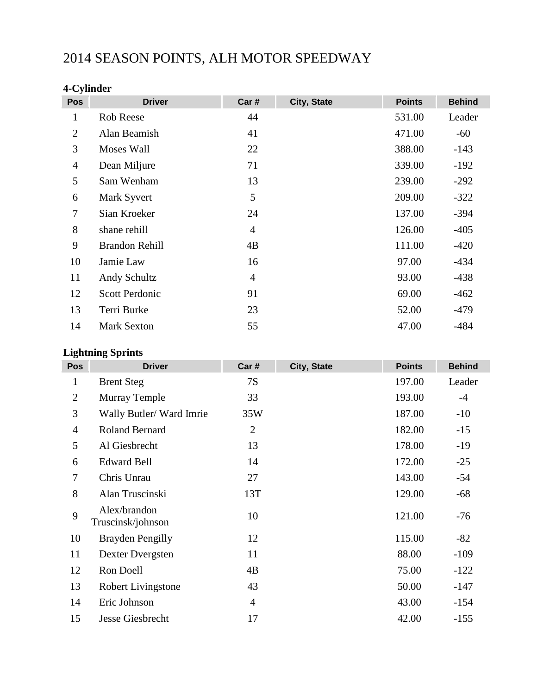# 2014 SEASON POINTS, ALH MOTOR SPEEDWAY

## **4-Cylinder**

| Pos            | <b>Driver</b>         | Car #          | City, State | <b>Points</b> | <b>Behind</b> |
|----------------|-----------------------|----------------|-------------|---------------|---------------|
| $\mathbf 1$    | <b>Rob Reese</b>      | 44             |             | 531.00        | Leader        |
| $\overline{2}$ | Alan Beamish          | 41             |             | 471.00        | $-60$         |
| 3              | Moses Wall            | 22             |             | 388.00        | $-143$        |
| $\overline{4}$ | Dean Miljure          | 71             |             | 339.00        | $-192$        |
| 5              | Sam Wenham            | 13             |             | 239.00        | $-292$        |
| 6              | Mark Syvert           | 5              |             | 209.00        | $-322$        |
| 7              | Sian Kroeker          | 24             |             | 137.00        | $-394$        |
| 8              | shane rehill          | $\overline{4}$ |             | 126.00        | $-405$        |
| 9              | <b>Brandon Rehill</b> | 4B             |             | 111.00        | $-420$        |
| 10             | Jamie Law             | 16             |             | 97.00         | $-434$        |
| 11             | Andy Schultz          | $\overline{4}$ |             | 93.00         | $-438$        |
| 12             | <b>Scott Perdonic</b> | 91             |             | 69.00         | $-462$        |
| 13             | Terri Burke           | 23             |             | 52.00         | $-479$        |
| 14             | <b>Mark Sexton</b>    | 55             |             | 47.00         | $-484$        |

#### **Lightning Sprints**

| <b>Pos</b>     | <b>Driver</b>                     | Car #          | City, State | <b>Points</b> | <b>Behind</b> |
|----------------|-----------------------------------|----------------|-------------|---------------|---------------|
| 1              | <b>Brent Steg</b>                 | <b>7S</b>      |             | 197.00        | Leader        |
| $\overline{2}$ | <b>Murray Temple</b>              | 33             |             | 193.00        | $-4$          |
| 3              | Wally Butler/Ward Imrie           | 35W            |             | 187.00        | $-10$         |
| $\overline{4}$ | Roland Bernard                    | $\overline{2}$ |             | 182.00        | $-15$         |
| 5              | Al Giesbrecht                     | 13             |             | 178.00        | $-19$         |
| 6              | <b>Edward Bell</b>                | 14             |             | 172.00        | $-25$         |
| 7              | Chris Unrau                       | 27             |             | 143.00        | $-54$         |
| 8              | Alan Truscinski                   | 13T            |             | 129.00        | $-68$         |
| 9              | Alex/brandon<br>Truscinsk/johnson | 10             |             | 121.00        | $-76$         |
| 10             | <b>Brayden Pengilly</b>           | 12             |             | 115.00        | $-82$         |
| 11             | Dexter Dvergsten                  | 11             |             | 88.00         | $-109$        |
| 12             | Ron Doell                         | 4B             |             | 75.00         | $-122$        |
| 13             | Robert Livingstone                | 43             |             | 50.00         | $-147$        |
| 14             | Eric Johnson                      | $\overline{4}$ |             | 43.00         | $-154$        |
| 15             | Jesse Giesbrecht                  | 17             |             | 42.00         | $-155$        |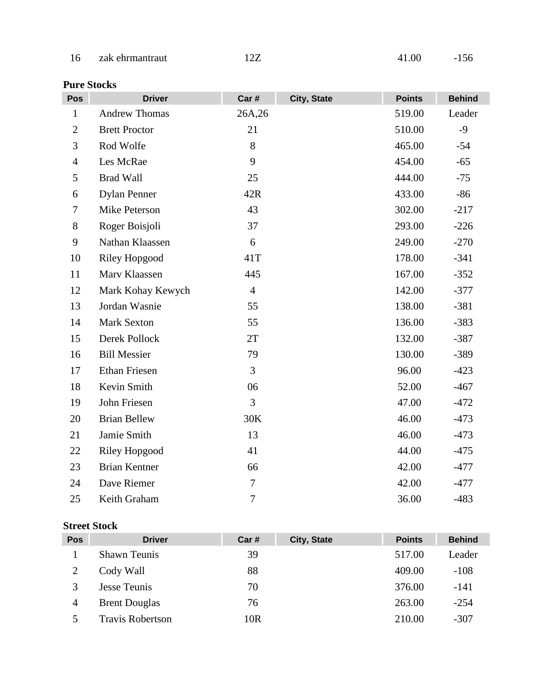| 16 | zak ehrmantraut | 12Z | 41.00 | $-156$ |
|----|-----------------|-----|-------|--------|
|----|-----------------|-----|-------|--------|

### **Pure Stocks**

| Pos            | <b>Driver</b>        | Car #          | City, State | <b>Points</b> | <b>Behind</b> |
|----------------|----------------------|----------------|-------------|---------------|---------------|
| $\mathbf{1}$   | <b>Andrew Thomas</b> | 26A,26         |             | 519.00        | Leader        |
| $\overline{2}$ | <b>Brett Proctor</b> | 21             |             | 510.00        | $-9$          |
| 3              | Rod Wolfe            | 8              |             | 465.00        | $-54$         |
| $\overline{4}$ | Les McRae            | 9              |             | 454.00        | $-65$         |
| 5              | <b>Brad Wall</b>     | 25             |             | 444.00        | $-75$         |
| 6              | <b>Dylan Penner</b>  | 42R            |             | 433.00        | $-86$         |
| 7              | Mike Peterson        | 43             |             | 302.00        | $-217$        |
| $8\,$          | Roger Boisjoli       | 37             |             | 293.00        | $-226$        |
| 9              | Nathan Klaassen      | 6              |             | 249.00        | $-270$        |
| 10             | <b>Riley Hopgood</b> | 41T            |             | 178.00        | $-341$        |
| 11             | Marv Klaassen        | 445            |             | 167.00        | $-352$        |
| 12             | Mark Kohay Kewych    | $\overline{4}$ |             | 142.00        | $-377$        |
| 13             | Jordan Wasnie        | 55             |             | 138.00        | $-381$        |
| 14             | <b>Mark Sexton</b>   | 55             |             | 136.00        | $-383$        |
| 15             | Derek Pollock        | 2T             |             | 132.00        | $-387$        |
| 16             | <b>Bill Messier</b>  | 79             |             | 130.00        | $-389$        |
| 17             | <b>Ethan Friesen</b> | 3              |             | 96.00         | $-423$        |
| 18             | Kevin Smith          | 06             |             | 52.00         | $-467$        |
| 19             | John Friesen         | 3              |             | 47.00         | $-472$        |
| 20             | <b>Brian Bellew</b>  | 30K            |             | 46.00         | $-473$        |
| 21             | Jamie Smith          | 13             |             | 46.00         | $-473$        |
| 22             | <b>Riley Hopgood</b> | 41             |             | 44.00         | $-475$        |
| 23             | <b>Brian Kentner</b> | 66             |             | 42.00         | $-477$        |
| 24             | Dave Riemer          | $\tau$         |             | 42.00         | $-477$        |
| 25             | Keith Graham         | $\tau$         |             | 36.00         | $-483$        |

#### **Street Stock**

| Pos | <b>Driver</b>           | Car# | City, State | <b>Points</b> | <b>Behind</b> |
|-----|-------------------------|------|-------------|---------------|---------------|
|     | <b>Shawn Teunis</b>     | 39   |             | 517.00        | Leader        |
|     | Cody Wall               | 88   |             | 409.00        | $-108$        |
|     | Jesse Teunis            | 70   |             | 376.00        | $-141$        |
| 4   | <b>Brent Douglas</b>    | 76   |             | 263.00        | $-254$        |
|     | <b>Travis Robertson</b> | 10R  |             | 210.00        | $-307$        |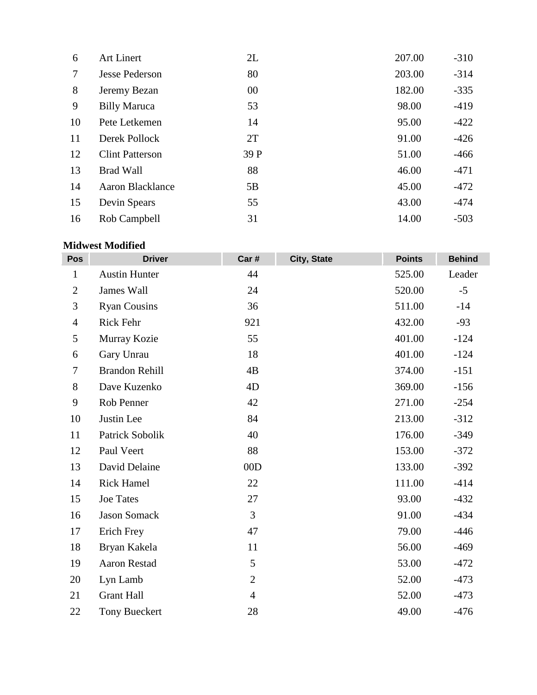| 6  | Art Linert              | 2L   | 207.00 | $-310$ |
|----|-------------------------|------|--------|--------|
| 7  | <b>Jesse Pederson</b>   | 80   | 203.00 | $-314$ |
| 8  | Jeremy Bezan            | 00   | 182.00 | $-335$ |
| 9  | <b>Billy Maruca</b>     | 53   | 98.00  | $-419$ |
| 10 | Pete Letkemen           | 14   | 95.00  | $-422$ |
| 11 | Derek Pollock           | 2T   | 91.00  | $-426$ |
| 12 | <b>Clint Patterson</b>  | 39 P | 51.00  | $-466$ |
| 13 | <b>Brad Wall</b>        | 88   | 46.00  | $-471$ |
| 14 | <b>Aaron Blacklance</b> | 5B   | 45.00  | $-472$ |
| 15 | Devin Spears            | 55   | 43.00  | $-474$ |
| 16 | Rob Campbell            | 31   | 14.00  | $-503$ |

#### **Midwest Modified**

| Pos            | <b>Driver</b>         | Car #          | City, State | <b>Points</b> | <b>Behind</b> |
|----------------|-----------------------|----------------|-------------|---------------|---------------|
| $\mathbf{1}$   | <b>Austin Hunter</b>  | 44             |             | 525.00        | Leader        |
| $\overline{2}$ | James Wall            | 24             |             | 520.00        | $-5$          |
| 3              | <b>Ryan Cousins</b>   | 36             |             | 511.00        | $-14$         |
| $\overline{4}$ | Rick Fehr             | 921            |             | 432.00        | $-93$         |
| 5              | Murray Kozie          | 55             |             | 401.00        | $-124$        |
| 6              | Gary Unrau            | 18             |             | 401.00        | $-124$        |
| 7              | <b>Brandon Rehill</b> | 4B             |             | 374.00        | $-151$        |
| $8\,$          | Dave Kuzenko          | 4D             |             | 369.00        | $-156$        |
| 9              | Rob Penner            | 42             |             | 271.00        | $-254$        |
| 10             | Justin Lee            | 84             |             | 213.00        | $-312$        |
| 11             | Patrick Sobolik       | 40             |             | 176.00        | $-349$        |
| 12             | Paul Veert            | 88             |             | 153.00        | $-372$        |
| 13             | David Delaine         | 00D            |             | 133.00        | $-392$        |
| 14             | <b>Rick Hamel</b>     | 22             |             | 111.00        | $-414$        |
| 15             | <b>Joe Tates</b>      | 27             |             | 93.00         | $-432$        |
| 16             | <b>Jason Somack</b>   | $\overline{3}$ |             | 91.00         | $-434$        |
| 17             | Erich Frey            | 47             |             | 79.00         | $-446$        |
| 18             | Bryan Kakela          | 11             |             | 56.00         | $-469$        |
| 19             | <b>Aaron Restad</b>   | 5              |             | 53.00         | $-472$        |
| 20             | Lyn Lamb              | $\overline{2}$ |             | 52.00         | $-473$        |
| 21             | <b>Grant Hall</b>     | $\overline{4}$ |             | 52.00         | $-473$        |
| 22             | <b>Tony Bueckert</b>  | 28             |             | 49.00         | $-476$        |